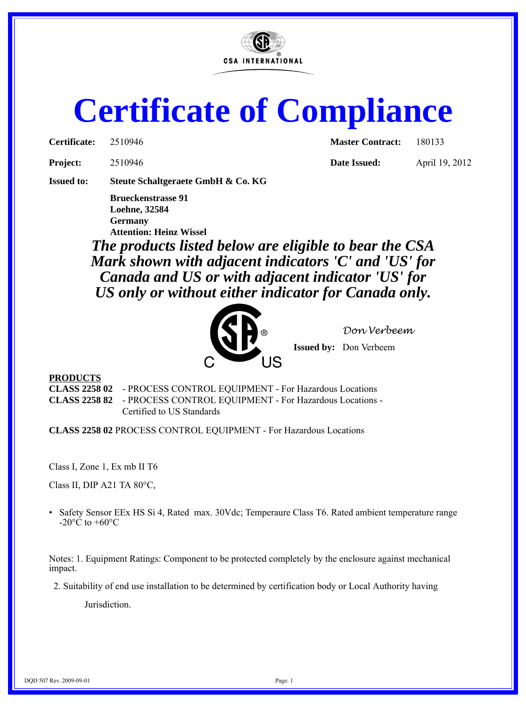

# **Certificate of Compliance**

| Certificate: | 2510946 |
|--------------|---------|
|              |         |

**Master Contract:** 180133

**Project:** 2510946 **Date Issued:** April 19, 2012

**Issued to: Steute Schaltgeraete GmbH & Co. KG**

**Brueckenstrasse 91 Loehne, 32584 Germany Attention: Heinz Wissel**

*The products listed below are eligible to bear the CSA Mark shown with adjacent indicators 'C' and 'US' for Canada and US or with adjacent indicator 'US' for US only or without either indicator for Canada only.*



*Don Verbeem*

**Issued by:** Don Verbeem

#### **PRODUCTS**

**CLASS 2258 02** - PROCESS CONTROL EQUIPMENT - For Hazardous Locations **CLASS 2258 82** - PROCESS CONTROL EQUIPMENT - For Hazardous Locations - Certified to US Standards

**CLASS 2258 02** PROCESS CONTROL EQUIPMENT - For Hazardous Locations

Class I, Zone 1, Ex mb II T6

Class II, DIP A21 TA 80°C,

• Safety Sensor EEx HS Si 4, Rated max. 30Vdc; Temperaure Class T6. Rated ambient temperature range  $-20^{\circ}$ C to  $+60^{\circ}$ C

Notes: 1. Equipment Ratings: Component to be protected completely by the enclosure against mechanical impact.

2. Suitability of end use installation to be determined by certification body or Local Authority having

Jurisdiction.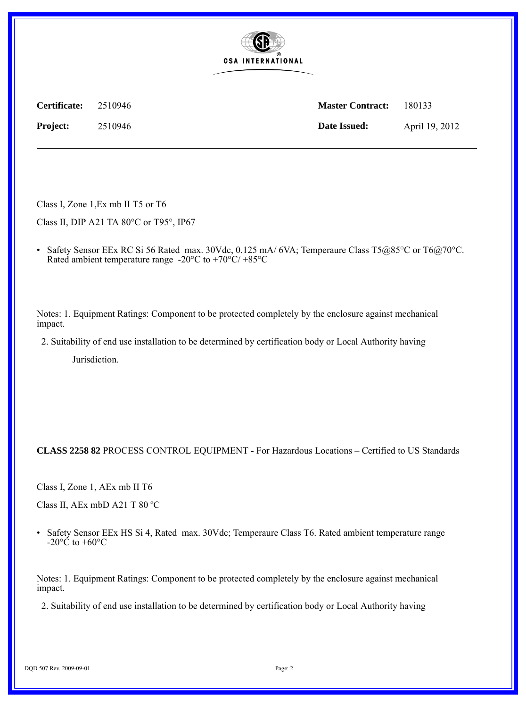

**Certificate:** 2510946 **Master Contract:** 180133 **Project:** 2510946 **Date Issued:** April 19, 2012

Class I, Zone 1,Ex mb II T5 or T6

Class II, DIP A21 TA 80°C or T95°, IP67

• Safety Sensor EEx RC Si 56 Rated max. 30Vdc, 0.125 mA/ 6VA; Temperaure Class T5 $@85°$ C or T6 $@70°$ C. Rated ambient temperature range -20 $\rm{^{\circ}C}$  to +70 $\rm{^{\circ}C/}$  +85 $\rm{^{\circ}C}$ 

Notes: 1. Equipment Ratings: Component to be protected completely by the enclosure against mechanical impact.

2. Suitability of end use installation to be determined by certification body or Local Authority having

Jurisdiction.

**CLASS 2258 82** PROCESS CONTROL EQUIPMENT - For Hazardous Locations – Certified to US Standards

Class I, Zone 1, AEx mb II T6

Class II, AEx mbD A21 T 80 ºC

• Safety Sensor EEx HS Si 4, Rated max. 30Vdc; Temperaure Class T6. Rated ambient temperature range -20 $\rm ^{\circ}\rm \check{C}$  to +60 $\rm ^{\circ}\rm C$ 

Notes: 1. Equipment Ratings: Component to be protected completely by the enclosure against mechanical impact.

2. Suitability of end use installation to be determined by certification body or Local Authority having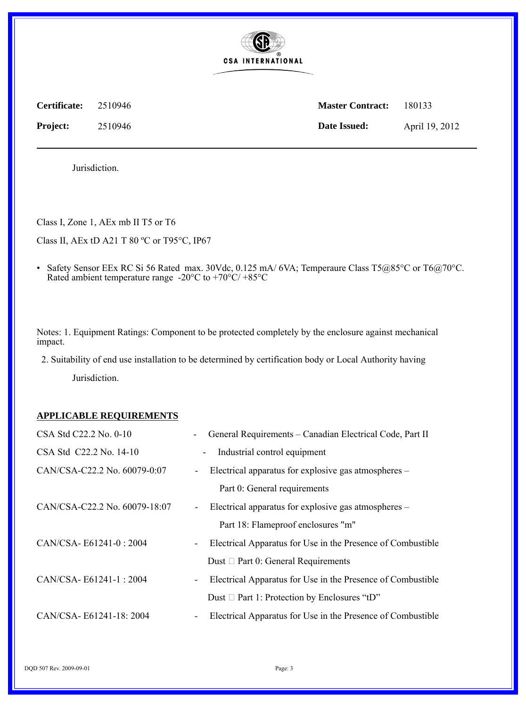

**Certificate:** 2510946 **Master Contract:** 180133 **Project:** 2510946 **Date Issued:** April 19, 2012

Jurisdiction.

Class I, Zone 1, AEx mb II T5 or T6

Class II, AEx tD A21 T 80 ºC or T95°C, IP67

• Safety Sensor EEx RC Si 56 Rated max. 30Vdc, 0.125 mA/ 6VA; Temperaure Class T5@85°C or T6@70°C. Rated ambient temperature range -20 $^{\circ}$ C to +70 $^{\circ}$ C/ +85 $^{\circ}$ C

Notes: 1. Equipment Ratings: Component to be protected completely by the enclosure against mechanical impact.

2. Suitability of end use installation to be determined by certification body or Local Authority having

Jurisdiction.

#### **APPLICABLE REQUIREMENTS**

| CSA Std C22.2 No. 0-10        | General Requirements - Canadian Electrical Code, Part II                                |
|-------------------------------|-----------------------------------------------------------------------------------------|
| CSA Std C22.2 No. 14-10       | Industrial control equipment<br>$\blacksquare$                                          |
| CAN/CSA-C22.2 No. 60079-0:07  | Electrical apparatus for explosive gas atmospheres –<br>$\blacksquare$                  |
|                               | Part 0: General requirements                                                            |
| CAN/CSA-C22.2 No. 60079-18:07 | Electrical apparatus for explosive gas atmospheres –<br>$\blacksquare$                  |
|                               | Part 18: Flameproof enclosures "m"                                                      |
| CAN/CSA-E61241-0:2004         | Electrical Apparatus for Use in the Presence of Combustible<br>$\overline{\phantom{a}}$ |
|                               | Dust $\Box$ Part 0: General Requirements                                                |
| $CAN/CSA - E61241-1: 2004$    | Electrical Apparatus for Use in the Presence of Combustible<br>$\overline{\phantom{a}}$ |
|                               | Dust $\Box$ Part 1: Protection by Enclosures "tD"                                       |
| CAN/CSA-E61241-18: 2004       | Electrical Apparatus for Use in the Presence of Combustible<br>$\overline{\phantom{a}}$ |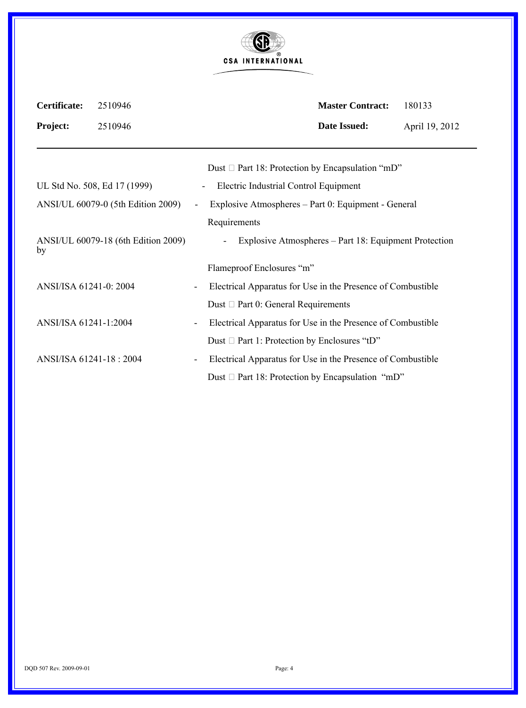| <b>GR</b><br>(R)         |
|--------------------------|
| <b>CSA INTERNATIONAL</b> |

| Certificate:            | 2510946                             |                          |                                                             | <b>Master Contract:</b>                               | 180133         |
|-------------------------|-------------------------------------|--------------------------|-------------------------------------------------------------|-------------------------------------------------------|----------------|
| <b>Project:</b>         | 2510946                             |                          |                                                             | <b>Date Issued:</b>                                   | April 19, 2012 |
|                         |                                     |                          | Dust $\Box$ Part 18: Protection by Encapsulation "mD"       |                                                       |                |
|                         | UL Std No. 508, Ed 17 (1999)        |                          | Electric Industrial Control Equipment<br>$\blacksquare$     |                                                       |                |
|                         | ANSI/UL 60079-0 (5th Edition 2009)  | $\overline{\phantom{a}}$ | Explosive Atmospheres – Part 0: Equipment - General         |                                                       |                |
|                         |                                     |                          | Requirements                                                |                                                       |                |
| by                      | ANSI/UL 60079-18 (6th Edition 2009) |                          |                                                             | Explosive Atmospheres – Part 18: Equipment Protection |                |
|                         |                                     |                          | Flameproof Enclosures "m"                                   |                                                       |                |
| ANSI/ISA 61241-0: 2004  |                                     |                          | Electrical Apparatus for Use in the Presence of Combustible |                                                       |                |
|                         |                                     |                          | Dust $\Box$ Part 0: General Requirements                    |                                                       |                |
| ANSI/ISA 61241-1:2004   |                                     | $\overline{\phantom{a}}$ | Electrical Apparatus for Use in the Presence of Combustible |                                                       |                |
|                         |                                     |                          | Dust $\Box$ Part 1: Protection by Enclosures "tD"           |                                                       |                |
| ANSI/ISA 61241-18: 2004 |                                     |                          | Electrical Apparatus for Use in the Presence of Combustible |                                                       |                |
|                         |                                     |                          | Dust $\Box$ Part 18: Protection by Encapsulation "mD"       |                                                       |                |